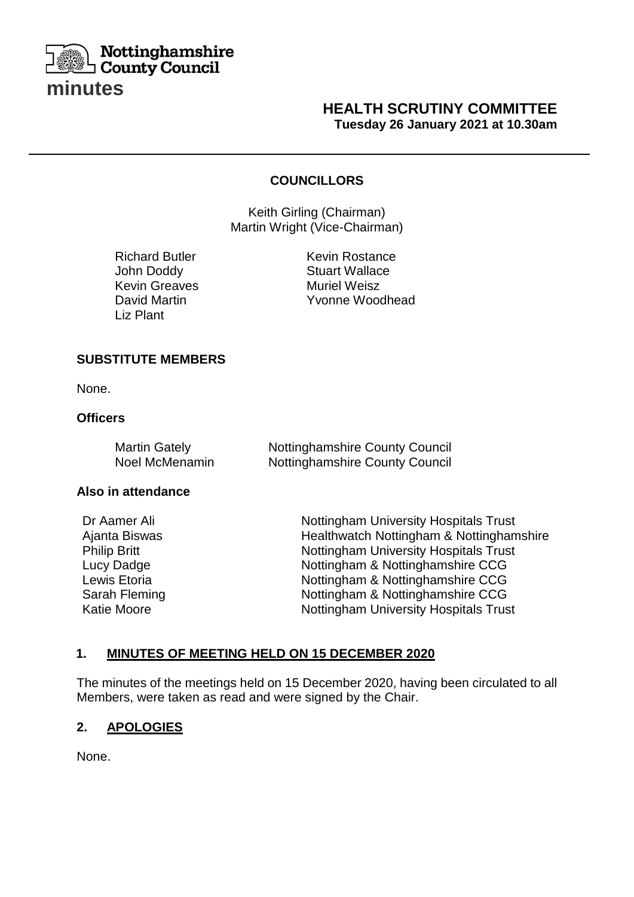

## **HEALTH SCRUTINY COMMITTEE Tuesday 26 January 2021 at 10.30am**

#### **COUNCILLORS**

**SCRIPTION** 

**Keith Girling (Chairman)** Martin Wright (Vice-Chairman)

John Doddy Stuart Wallace Kevin Greaves **Muriel Weisz** Liz Plant **David Martin** 

Richard Butler **Kevin Rostance** Yvonne Woodhead

#### **SUBSTITUTE MEMBERS**

None.

### **Officers**

| <b>Martin Gately</b> | <b>Nottinghamshire County Council</b> |
|----------------------|---------------------------------------|
| Noel McMenamin       | <b>Nottinghamshire County Council</b> |

#### **Also in attendance**

Dr Aamer Ali Ajanta Biswas Philip Britt Lucy Dadge Lewis Etoria Sarah Fleming Katie Moore

Nottingham University Hospitals Trust Healthwatch Nottingham & Nottinghamshire Nottingham University Hospitals Trust Nottingham & Nottinghamshire CCG Nottingham & Nottinghamshire CCG Nottingham & Nottinghamshire CCG Nottingham University Hospitals Trust

### **1. MINUTES OF MEETING HELD ON 15 DECEMBER 2020**

The minutes of the meetings held on 15 December 2020, having been circulated to all Members, were taken as read and were signed by the Chair.

### **2. APOLOGIES**

None.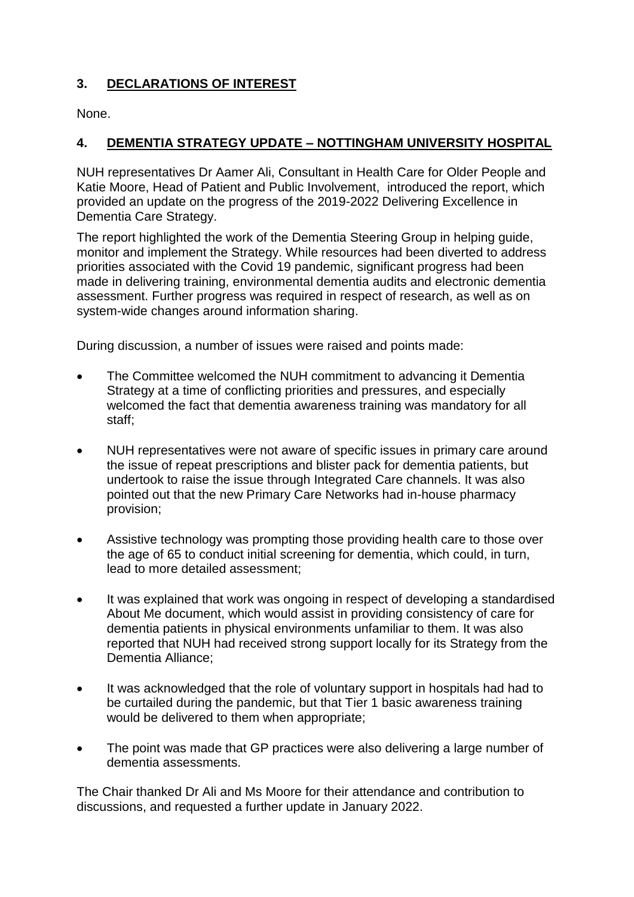# **3. DECLARATIONS OF INTEREST**

None.

# **4. DEMENTIA STRATEGY UPDATE – NOTTINGHAM UNIVERSITY HOSPITAL**

NUH representatives Dr Aamer Ali, Consultant in Health Care for Older People and Katie Moore, Head of Patient and Public Involvement, introduced the report, which provided an update on the progress of the 2019-2022 Delivering Excellence in Dementia Care Strategy.

The report highlighted the work of the Dementia Steering Group in helping guide, monitor and implement the Strategy. While resources had been diverted to address priorities associated with the Covid 19 pandemic, significant progress had been made in delivering training, environmental dementia audits and electronic dementia assessment. Further progress was required in respect of research, as well as on system-wide changes around information sharing.

During discussion, a number of issues were raised and points made:

- The Committee welcomed the NUH commitment to advancing it Dementia Strategy at a time of conflicting priorities and pressures, and especially welcomed the fact that dementia awareness training was mandatory for all staff;
- NUH representatives were not aware of specific issues in primary care around the issue of repeat prescriptions and blister pack for dementia patients, but undertook to raise the issue through Integrated Care channels. It was also pointed out that the new Primary Care Networks had in-house pharmacy provision;
- Assistive technology was prompting those providing health care to those over the age of 65 to conduct initial screening for dementia, which could, in turn, lead to more detailed assessment;
- It was explained that work was ongoing in respect of developing a standardised About Me document, which would assist in providing consistency of care for dementia patients in physical environments unfamiliar to them. It was also reported that NUH had received strong support locally for its Strategy from the Dementia Alliance;
- It was acknowledged that the role of voluntary support in hospitals had had to be curtailed during the pandemic, but that Tier 1 basic awareness training would be delivered to them when appropriate;
- The point was made that GP practices were also delivering a large number of dementia assessments.

The Chair thanked Dr Ali and Ms Moore for their attendance and contribution to discussions, and requested a further update in January 2022.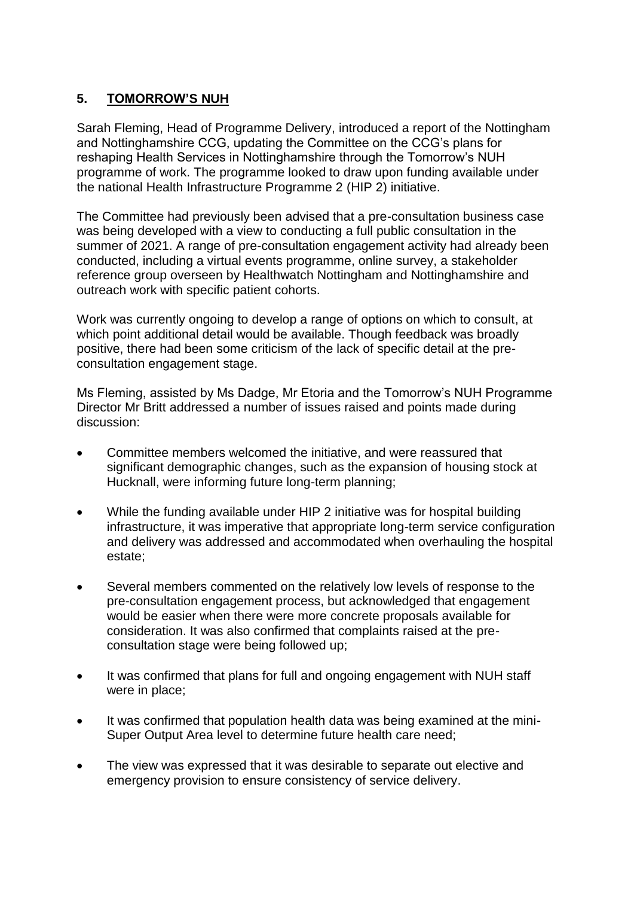## **5. TOMORROW'S NUH**

Sarah Fleming, Head of Programme Delivery, introduced a report of the Nottingham and Nottinghamshire CCG, updating the Committee on the CCG's plans for reshaping Health Services in Nottinghamshire through the Tomorrow's NUH programme of work. The programme looked to draw upon funding available under the national Health Infrastructure Programme 2 (HIP 2) initiative.

The Committee had previously been advised that a pre-consultation business case was being developed with a view to conducting a full public consultation in the summer of 2021. A range of pre-consultation engagement activity had already been conducted, including a virtual events programme, online survey, a stakeholder reference group overseen by Healthwatch Nottingham and Nottinghamshire and outreach work with specific patient cohorts.

Work was currently ongoing to develop a range of options on which to consult, at which point additional detail would be available. Though feedback was broadly positive, there had been some criticism of the lack of specific detail at the preconsultation engagement stage.

Ms Fleming, assisted by Ms Dadge, Mr Etoria and the Tomorrow's NUH Programme Director Mr Britt addressed a number of issues raised and points made during discussion:

- Committee members welcomed the initiative, and were reassured that significant demographic changes, such as the expansion of housing stock at Hucknall, were informing future long-term planning;
- While the funding available under HIP 2 initiative was for hospital building infrastructure, it was imperative that appropriate long-term service configuration and delivery was addressed and accommodated when overhauling the hospital estate;
- Several members commented on the relatively low levels of response to the pre-consultation engagement process, but acknowledged that engagement would be easier when there were more concrete proposals available for consideration. It was also confirmed that complaints raised at the preconsultation stage were being followed up;
- It was confirmed that plans for full and ongoing engagement with NUH staff were in place;
- It was confirmed that population health data was being examined at the mini-Super Output Area level to determine future health care need;
- The view was expressed that it was desirable to separate out elective and emergency provision to ensure consistency of service delivery.